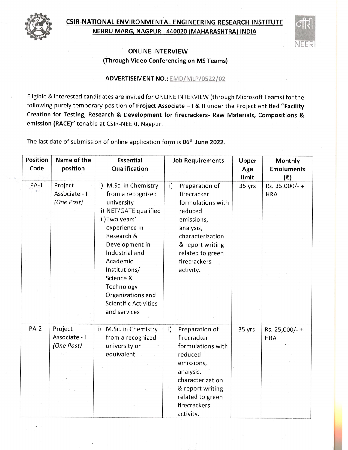

## CSIR-NATIONAL ENVIRONMENTAL ENG!NEERING RESEARCH INSTITUTE NEHRU MARG, NAGPUR . 44OO2O (MAHARASHTRA) INDIA



## ONLINE INTERVIEW (Through Video Conferencing on MS Teams)

## ADVERTISEMENT NO.: EMD/MLP/0522/02

Eligible & interested candidates are invited for ONLINE INTERVIEW (through Microsoft Teams) for the following purely temporary position of Project Associate - I & II under the Project entitled "Facility Creation for Testing, Research & Development for firecrackers- Raw Materials, Compositions & emission (RACE)" tenable at CSIR-NEERl, Nagpur.

The last date of submission of online application form is 06<sup>th</sup> June 2022.

| Position<br>Code | Name of the<br>position                 | <b>Essential</b><br>Qualification                                                                                                                                                                                                                                                                     | <b>Job Requirements</b>                                                                                                                                                                           | Upper<br>Age<br>limit | Monthly<br><b>Emoluments</b><br>(₹) |
|------------------|-----------------------------------------|-------------------------------------------------------------------------------------------------------------------------------------------------------------------------------------------------------------------------------------------------------------------------------------------------------|---------------------------------------------------------------------------------------------------------------------------------------------------------------------------------------------------|-----------------------|-------------------------------------|
| $PA-1$           | Project<br>Associate - II<br>(One Post) | i) M.Sc. in Chemistry<br>from a recognized<br>university<br>ii) NET/GATE qualified<br>iii) Two years'<br>experience in<br>Research &<br>Development in<br>Industrial and<br>Academic<br>Institutions/<br>Science &<br>Technology<br>Organizations and<br><b>Scientific Activities</b><br>and services | $\mathsf{i}$<br>Preparation of<br>firecracker<br>formulations with<br>reduced<br>emissions,<br>analysis,<br>characterization<br>& report writing<br>related to green<br>firecrackers<br>activity. | 35 yrs                | Rs. 35,000/-+<br><b>HRA</b>         |
| $PA-2$           | Project<br>Associate - I<br>(One Post)  | M.Sc. in Chemistry<br>i)<br>from a recognized<br>university or<br>equivalent                                                                                                                                                                                                                          | Preparation of<br>$\mathsf{i}$<br>firecracker<br>formulations with<br>reduced<br>emissions,<br>analysis,<br>characterization<br>& report writing<br>related to green<br>firecrackers<br>activity. | 35 yrs                | Rs. 25,000/- +<br><b>HRA</b>        |